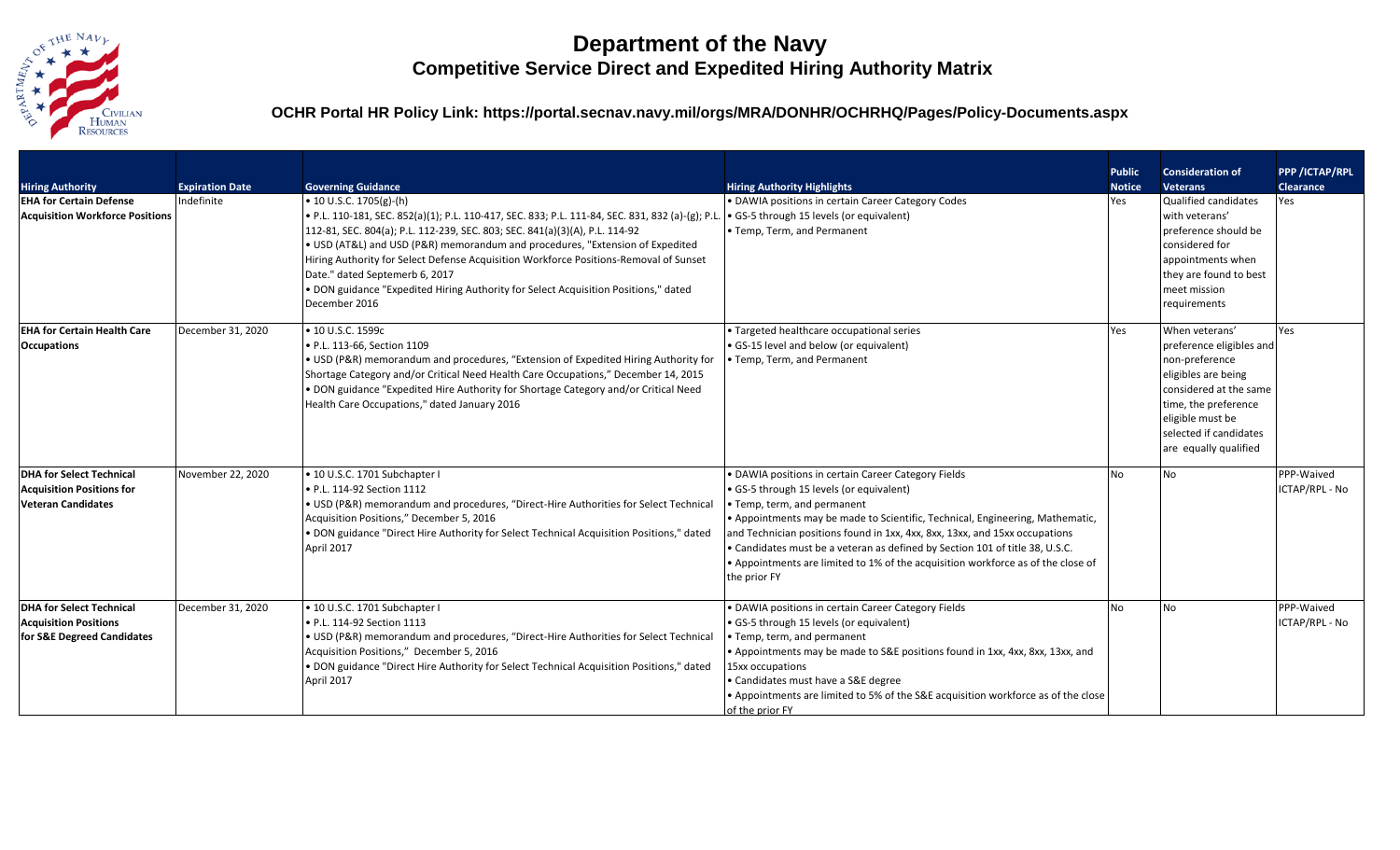

## **Department of the Navy Competitive Service Direct and Expedited Hiring Authority Matrix**

**OCHR Portal HR Policy Link: https://portal.secnav.navy.mil/orgs/MRA/DONHR/OCHRHQ/Pages/Policy-Documents.aspx**

| <b>Hiring Authority</b><br><b>EHA for Certain Defense</b><br><b>Acquisition Workforce Positions</b> | <b>Expiration Date</b><br>Indefinite | <b>Governing Guidance</b><br>$\bullet$ 10 U.S.C. 1705(g)-(h)<br>. P.L. 110-181, SEC. 852(a)(1); P.L. 110-417, SEC. 833; P.L. 111-84, SEC. 831, 832 (a)-(g); P.L.<br>112-81, SEC. 804(a); P.L. 112-239, SEC. 803; SEC. 841(a)(3)(A), P.L. 114-92<br>• USD (AT&L) and USD (P&R) memorandum and procedures, "Extension of Expedited<br>Hiring Authority for Select Defense Acquisition Workforce Positions-Removal of Sunset<br>Date." dated Septemerb 6, 2017<br>. DON guidance "Expedited Hiring Authority for Select Acquisition Positions," dated<br>December 2016 | <b>Hiring Authority Highlights</b><br>• DAWIA positions in certain Career Category Codes<br>• GS-5 through 15 levels (or equivalent)<br>• Temp, Term, and Permanent                                                                                                                                                                                                                                                                                                                | <b>Public</b><br><b>Notice</b><br>Yes | <b>Consideration of</b><br><b>Veterans</b><br>Qualified candidates<br>with veterans'<br>preference should be<br>considered for<br>appointments when<br>they are found to best<br>meet mission<br>requirements | <b>PPP /ICTAP/RPL</b><br><b>Clearance</b><br>Yes |
|-----------------------------------------------------------------------------------------------------|--------------------------------------|---------------------------------------------------------------------------------------------------------------------------------------------------------------------------------------------------------------------------------------------------------------------------------------------------------------------------------------------------------------------------------------------------------------------------------------------------------------------------------------------------------------------------------------------------------------------|------------------------------------------------------------------------------------------------------------------------------------------------------------------------------------------------------------------------------------------------------------------------------------------------------------------------------------------------------------------------------------------------------------------------------------------------------------------------------------|---------------------------------------|---------------------------------------------------------------------------------------------------------------------------------------------------------------------------------------------------------------|--------------------------------------------------|
| <b>EHA for Certain Health Care</b><br><b>Occupations</b>                                            | December 31, 2020                    | • 10 U.S.C. 1599c<br>• P.L. 113-66, Section 1109<br>. USD (P&R) memorandum and procedures, "Extension of Expedited Hiring Authority for<br>Shortage Category and/or Critical Need Health Care Occupations," December 14, 2015<br>. DON guidance "Expedited Hire Authority for Shortage Category and/or Critical Need<br>Health Care Occupations," dated January 2016                                                                                                                                                                                                | • Targeted healthcare occupational series<br>• GS-15 level and below (or equivalent)<br>• Temp, Term, and Permanent                                                                                                                                                                                                                                                                                                                                                                | Yes                                   | When veterans'<br>preference eligibles and<br>non-preference<br>eligibles are being<br>considered at the same<br>time, the preference<br>eligible must be<br>selected if candidates<br>are equally qualified  | Yes                                              |
| <b>DHA for Select Technical</b><br><b>Acquisition Positions for</b><br><b>Veteran Candidates</b>    | November 22, 2020                    | · 10 U.S.C. 1701 Subchapter I<br>• P.L. 114-92 Section 1112<br>. USD (P&R) memorandum and procedures, "Direct-Hire Authorities for Select Technical<br>Acquisition Positions," December 5, 2016<br>. DON guidance "Direct Hire Authority for Select Technical Acquisition Positions," dated<br>April 2017                                                                                                                                                                                                                                                           | • DAWIA positions in certain Career Category Fields<br>· GS-5 through 15 levels (or equivalent)<br>• Temp, term, and permanent<br>• Appointments may be made to Scientific, Technical, Engineering, Mathematic,<br>and Technician positions found in 1xx, 4xx, 8xx, 13xx, and 15xx occupations<br>• Candidates must be a veteran as defined by Section 101 of title 38, U.S.C.<br>• Appointments are limited to 1% of the acquisition workforce as of the close of<br>the prior FY | <b>No</b>                             | <b>No</b>                                                                                                                                                                                                     | PPP-Waived<br>ICTAP/RPL - No                     |
| <b>DHA for Select Technical</b><br><b>Acquisition Positions</b><br>for S&E Degreed Candidates       | December 31, 2020                    | · 10 U.S.C. 1701 Subchapter I<br>• P.L. 114-92 Section 1113<br>• USD (P&R) memorandum and procedures, "Direct-Hire Authorities for Select Technical<br>Acquisition Positions," December 5, 2016<br>. DON guidance "Direct Hire Authority for Select Technical Acquisition Positions," dated<br>April 2017                                                                                                                                                                                                                                                           | • DAWIA positions in certain Career Category Fields<br>• GS-5 through 15 levels (or equivalent)<br>• Temp, term, and permanent<br>• Appointments may be made to S&E positions found in 1xx, 4xx, 8xx, 13xx, and<br>15xx occupations<br>• Candidates must have a S&E degree<br>• Appointments are limited to 5% of the S&E acquisition workforce as of the close<br>of the prior FY                                                                                                 | No.                                   | No.                                                                                                                                                                                                           | PPP-Waived<br>ICTAP/RPL - No                     |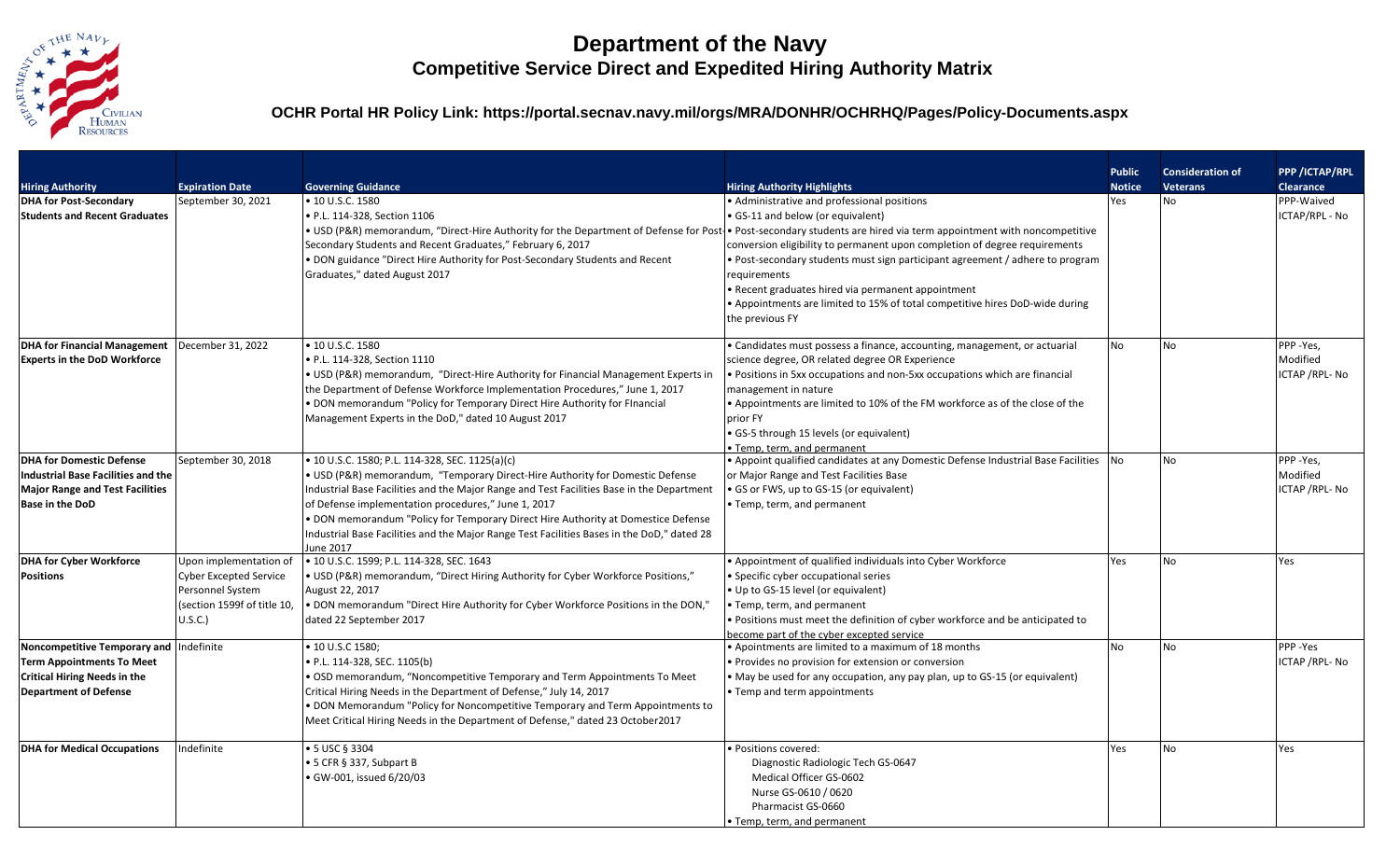

## **Department of the Navy Competitive Service Direct and Expedited Hiring Authority Matrix**

**OCHR Portal HR Policy Link: https://portal.secnav.navy.mil/orgs/MRA/DONHR/OCHRHQ/Pages/Policy-Documents.aspx**

|                                                                                                                                                    |                                                                                                                       |                                                                                                                                                                                                                                                                                                                                                                                                                                                                                      |                                                                                                                                                                                                                                                                                                                                                                                                                          | <b>Public</b> | <b>Consideration of</b> | <b>PPP /ICTAP/RPL</b>                   |
|----------------------------------------------------------------------------------------------------------------------------------------------------|-----------------------------------------------------------------------------------------------------------------------|--------------------------------------------------------------------------------------------------------------------------------------------------------------------------------------------------------------------------------------------------------------------------------------------------------------------------------------------------------------------------------------------------------------------------------------------------------------------------------------|--------------------------------------------------------------------------------------------------------------------------------------------------------------------------------------------------------------------------------------------------------------------------------------------------------------------------------------------------------------------------------------------------------------------------|---------------|-------------------------|-----------------------------------------|
| <b>Hiring Authority</b>                                                                                                                            | <b>Expiration Date</b>                                                                                                | <b>Governing Guidance</b>                                                                                                                                                                                                                                                                                                                                                                                                                                                            | <b>Hiring Authority Highlights</b>                                                                                                                                                                                                                                                                                                                                                                                       | <b>Notice</b> | <b>Veterans</b>         | <b>Clearance</b>                        |
| <b>DHA for Post-Secondary</b><br><b>Students and Recent Graduates</b>                                                                              | September 30, 2021                                                                                                    | • 10 U.S.C. 1580<br>· P.L. 114-328, Section 1106<br>• USD (P&R) memorandum, "Direct-Hire Authority for the Department of Defense for Post-• Post-secondary students are hired via term appointment with noncompetitive<br>Secondary Students and Recent Graduates," February 6, 2017<br>. DON guidance "Direct Hire Authority for Post-Secondary Students and Recent<br>Graduates," dated August 2017                                                                                | • Administrative and professional positions<br>• GS-11 and below (or equivalent)<br>conversion eligibility to permanent upon completion of degree requirements<br>• Post-secondary students must sign participant agreement / adhere to program<br>requirements<br>• Recent graduates hired via permanent appointment<br>• Appointments are limited to 15% of total competitive hires DoD-wide during<br>the previous FY | Yes           | No.                     | PPP-Waived<br>ICTAP/RPL - No            |
| <b>DHA for Financial Management</b><br><b>Experts in the DoD Workforce</b>                                                                         | December 31, 2022                                                                                                     | • 10 U.S.C. 1580<br>· P.L. 114-328, Section 1110<br>• USD (P&R) memorandum, "Direct-Hire Authority for Financial Management Experts in<br>the Department of Defense Workforce Implementation Procedures," June 1, 2017<br>. DON memorandum "Policy for Temporary Direct Hire Authority for Flnancial<br>Management Experts in the DoD," dated 10 August 2017                                                                                                                         | • Candidates must possess a finance, accounting, management, or actuarial<br>science degree, OR related degree OR Experience<br>. Positions in 5xx occupations and non-5xx occupations which are financial<br>management in nature<br>• Appointments are limited to 10% of the FM workforce as of the close of the<br>prior FY<br>· GS-5 through 15 levels (or equivalent)<br>• Temp, term, and permanent                | No.           | <b>No</b>               | PPP-Yes,<br>Modified<br>ICTAP / RPL- No |
| <b>DHA for Domestic Defense</b><br>Industrial Base Facilities and the<br><b>Major Range and Test Facilities</b><br><b>Base in the DoD</b>          | September 30, 2018                                                                                                    | • 10 U.S.C. 1580; P.L. 114-328, SEC. 1125(a)(c)<br>• USD (P&R) memorandum, "Temporary Direct-Hire Authority for Domestic Defense<br>Industrial Base Facilities and the Major Range and Test Facilities Base in the Department<br>of Defense implementation procedures," June 1, 2017<br>. DON memorandum "Policy for Temporary Direct Hire Authority at Domestice Defense<br>Industrial Base Facilities and the Major Range Test Facilities Bases in the DoD," dated 28<br>June 2017 | • Appoint qualified candidates at any Domestic Defense Industrial Base Facilities<br>or Major Range and Test Facilities Base<br>GS or FWS, up to GS-15 (or equivalent)<br>• Temp, term, and permanent                                                                                                                                                                                                                    | <b>No</b>     | <b>No</b>               | PPP-Yes,<br>Modified<br>ICTAP / RPL- No |
| <b>DHA for Cyber Workforce</b><br><b>Positions</b>                                                                                                 | Upon implementation of<br><b>Cyber Excepted Service</b><br>Personnel System<br>(section 1599f of title 10,<br>U.S.C.) | • 10 U.S.C. 1599; P.L. 114-328, SEC. 1643<br>. USD (P&R) memorandum, "Direct Hiring Authority for Cyber Workforce Positions,"<br>August 22, 2017<br>. DON memorandum "Direct Hire Authority for Cyber Workforce Positions in the DON,"<br>dated 22 September 2017                                                                                                                                                                                                                    | • Appointment of qualified individuals into Cyber Workforce<br>· Specific cyber occupational series<br>. Up to GS-15 level (or equivalent)<br>• Temp, term, and permanent<br>. Positions must meet the definition of cyber workforce and be anticipated to<br>become part of the cyber excepted service                                                                                                                  | Yes           | <b>No</b>               | Yes                                     |
| Noncompetitive Temporary and Indefinite<br><b>Term Appointments To Meet</b><br><b>Critical Hiring Needs in the</b><br><b>Department of Defense</b> |                                                                                                                       | • 10 U.S.C 1580;<br>• P.L. 114-328, SEC. 1105(b)<br>• OSD memorandum, "Noncompetitive Temporary and Term Appointments To Meet<br>Critical Hiring Needs in the Department of Defense," July 14, 2017<br>• DON Memorandum "Policy for Noncompetitive Temporary and Term Appointments to<br>Meet Critical Hiring Needs in the Department of Defense," dated 23 October2017                                                                                                              | • Apointments are limited to a maximum of 18 months<br>• Provides no provision for extension or conversion<br>• May be used for any occupation, any pay plan, up to GS-15 (or equivalent)<br>• Temp and term appointments                                                                                                                                                                                                | No            | <b>No</b>               | PPP-Yes<br>ICTAP / RPL- No              |
| <b>DHA for Medical Occupations</b>                                                                                                                 | Indefinite                                                                                                            | • 5 USC § 3304<br>• 5 CFR § 337, Subpart B<br>GW-001, issued 6/20/03                                                                                                                                                                                                                                                                                                                                                                                                                 | • Positions covered:<br>Diagnostic Radiologic Tech GS-0647<br>Medical Officer GS-0602<br>Nurse GS-0610 / 0620<br>Pharmacist GS-0660<br>• Temp, term, and permanent                                                                                                                                                                                                                                                       | Yes           | No                      | Yes                                     |